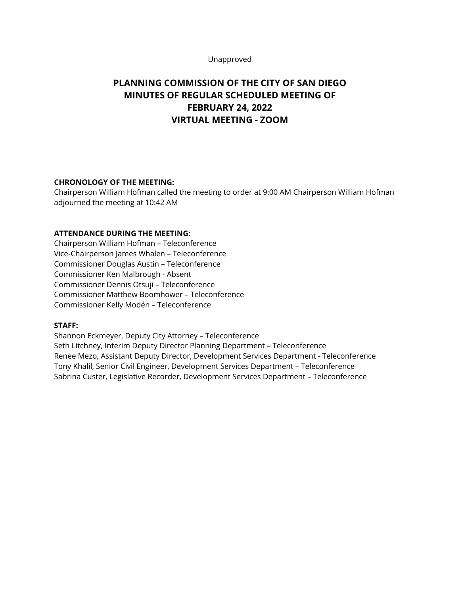#### Unapproved

# **PLANNING COMMISSION OF THE CITY OF SAN DIEGO MINUTES OF REGULAR SCHEDULED MEETING OF FEBRUARY 24, 2022 VIRTUAL MEETING - ZOOM**

# **CHRONOLOGY OF THE MEETING:**

Chairperson William Hofman called the meeting to order at 9:00 AM Chairperson William Hofman adjourned the meeting at 10:42 AM

#### **ATTENDANCE DURING THE MEETING:**

Chairperson William Hofman – Teleconference Vice-Chairperson James Whalen – Teleconference Commissioner Douglas Austin – Teleconference Commissioner Ken Malbrough - Absent Commissioner Dennis Otsuji – Teleconference Commissioner Matthew Boomhower – Teleconference Commissioner Kelly Modén – Teleconference

#### **STAFF:**

Shannon Eckmeyer, Deputy City Attorney – Teleconference Seth Litchney, Interim Deputy Director Planning Department – Teleconference Renee Mezo, Assistant Deputy Director, Development Services Department - Teleconference Tony Khalil, Senior Civil Engineer, Development Services Department – Teleconference Sabrina Custer, Legislative Recorder, Development Services Department – Teleconference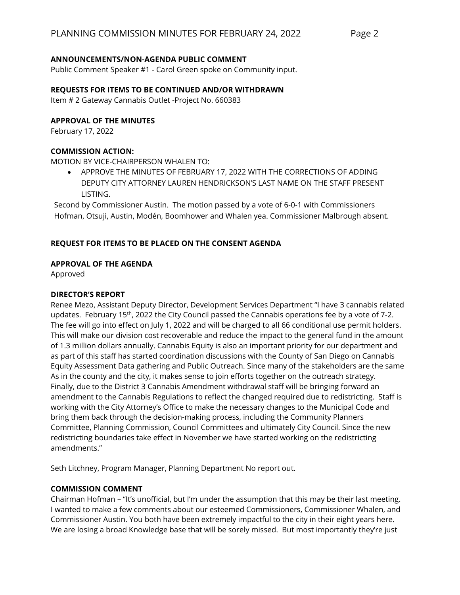## **ANNOUNCEMENTS/NON-AGENDA PUBLIC COMMENT**

Public Comment Speaker #1 - Carol Green spoke on Community input.

#### **REQUESTS FOR ITEMS TO BE CONTINUED AND/OR WITHDRAWN**

Item # 2 Gateway Cannabis Outlet -Project No. 660383

#### **APPROVAL OF THE MINUTES**

February 17, 2022

## **COMMISSION ACTION:**

MOTION BY VICE-CHAIRPERSON WHALEN TO:

• APPROVE THE MINUTES OF FEBRUARY 17, 2022 WITH THE CORRECTIONS OF ADDING DEPUTY CITY ATTORNEY LAUREN HENDRICKSON'S LAST NAME ON THE STAFF PRESENT LISTING.

Second by Commissioner Austin. The motion passed by a vote of 6-0-1 with Commissioners Hofman, Otsuji, Austin, Modén, Boomhower and Whalen yea. Commissioner Malbrough absent.

## **REQUEST FOR ITEMS TO BE PLACED ON THE CONSENT AGENDA**

#### **APPROVAL OF THE AGENDA**

Approved

## **DIRECTOR'S REPORT**

Renee Mezo, Assistant Deputy Director, Development Services Department "I have 3 cannabis related updates. February 15<sup>th</sup>, 2022 the City Council passed the Cannabis operations fee by a vote of 7-2. The fee will go into effect on July 1, 2022 and will be charged to all 66 conditional use permit holders. This will make our division cost recoverable and reduce the impact to the general fund in the amount of 1.3 million dollars annually. Cannabis Equity is also an important priority for our department and as part of this staff has started coordination discussions with the County of San Diego on Cannabis Equity Assessment Data gathering and Public Outreach. Since many of the stakeholders are the same As in the county and the city, it makes sense to join efforts together on the outreach strategy. Finally, due to the District 3 Cannabis Amendment withdrawal staff will be bringing forward an amendment to the Cannabis Regulations to reflect the changed required due to redistricting. Staff is working with the City Attorney's Office to make the necessary changes to the Municipal Code and bring them back through the decision-making process, including the Community Planners Committee, Planning Commission, Council Committees and ultimately City Council. Since the new redistricting boundaries take effect in November we have started working on the redistricting amendments."

Seth Litchney, Program Manager, Planning Department No report out.

#### **COMMISSION COMMENT**

Chairman Hofman – "It's unofficial, but I'm under the assumption that this may be their last meeting. I wanted to make a few comments about our esteemed Commissioners, Commissioner Whalen, and Commissioner Austin. You both have been extremely impactful to the city in their eight years here. We are losing a broad Knowledge base that will be sorely missed. But most importantly they're just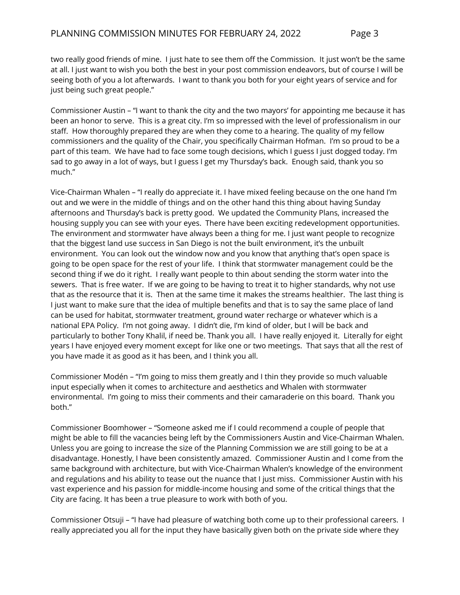two really good friends of mine. I just hate to see them off the Commission. It just won't be the same at all. I just want to wish you both the best in your post commission endeavors, but of course I will be seeing both of you a lot afterwards. I want to thank you both for your eight years of service and for just being such great people."

Commissioner Austin – "I want to thank the city and the two mayors' for appointing me because it has been an honor to serve. This is a great city. I'm so impressed with the level of professionalism in our staff. How thoroughly prepared they are when they come to a hearing. The quality of my fellow commissioners and the quality of the Chair, you specifically Chairman Hofman. I'm so proud to be a part of this team. We have had to face some tough decisions, which I guess I just dogged today. I'm sad to go away in a lot of ways, but I guess I get my Thursday's back. Enough said, thank you so much."

Vice-Chairman Whalen – "I really do appreciate it. I have mixed feeling because on the one hand I'm out and we were in the middle of things and on the other hand this thing about having Sunday afternoons and Thursday's back is pretty good. We updated the Community Plans, increased the housing supply you can see with your eyes. There have been exciting redevelopment opportunities. The environment and stormwater have always been a thing for me. I just want people to recognize that the biggest land use success in San Diego is not the built environment, it's the unbuilt environment. You can look out the window now and you know that anything that's open space is going to be open space for the rest of your life. I think that stormwater management could be the second thing if we do it right. I really want people to thin about sending the storm water into the sewers. That is free water. If we are going to be having to treat it to higher standards, why not use that as the resource that it is. Then at the same time it makes the streams healthier. The last thing is I just want to make sure that the idea of multiple benefits and that is to say the same place of land can be used for habitat, stormwater treatment, ground water recharge or whatever which is a national EPA Policy. I'm not going away. I didn't die, I'm kind of older, but I will be back and particularly to bother Tony Khalil, if need be. Thank you all. I have really enjoyed it. Literally for eight years I have enjoyed every moment except for like one or two meetings. That says that all the rest of you have made it as good as it has been, and I think you all.

Commissioner Modén – "I'm going to miss them greatly and I thin they provide so much valuable input especially when it comes to architecture and aesthetics and Whalen with stormwater environmental. I'm going to miss their comments and their camaraderie on this board. Thank you both."

Commissioner Boomhower – "Someone asked me if I could recommend a couple of people that might be able to fill the vacancies being left by the Commissioners Austin and Vice-Chairman Whalen. Unless you are going to increase the size of the Planning Commission we are still going to be at a disadvantage. Honestly, I have been consistently amazed. Commissioner Austin and I come from the same background with architecture, but with Vice-Chairman Whalen's knowledge of the environment and regulations and his ability to tease out the nuance that I just miss. Commissioner Austin with his vast experience and his passion for middle-income housing and some of the critical things that the City are facing. It has been a true pleasure to work with both of you.

Commissioner Otsuji – "I have had pleasure of watching both come up to their professional careers. I really appreciated you all for the input they have basically given both on the private side where they